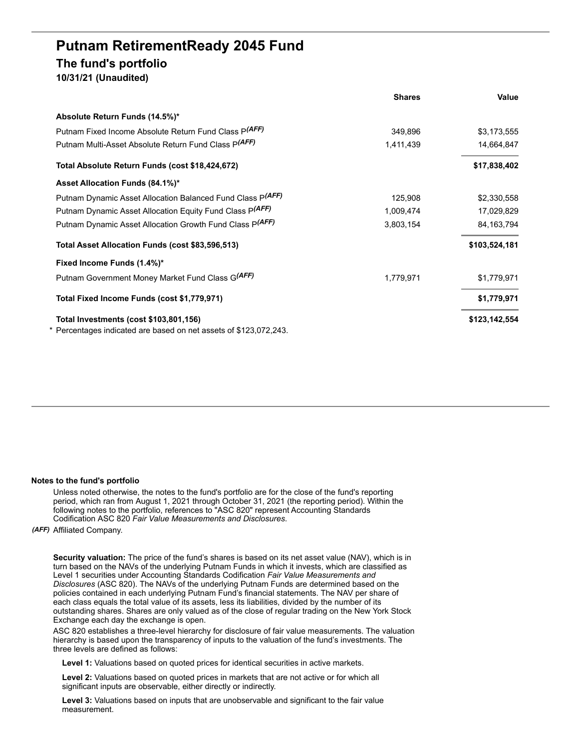# **Putnam RetirementReady 2045 Fund The fund's portfolio 10/31/21 (Unaudited)**

|                                                                                                             | <b>Shares</b> | Value         |
|-------------------------------------------------------------------------------------------------------------|---------------|---------------|
| Absolute Return Funds (14.5%)*                                                                              |               |               |
| Putnam Fixed Income Absolute Return Fund Class P(AFF)                                                       | 349,896       | \$3,173,555   |
| Putnam Multi-Asset Absolute Return Fund Class P(AFF)                                                        | 1,411,439     | 14,664,847    |
| Total Absolute Return Funds (cost \$18,424,672)                                                             |               | \$17,838,402  |
| Asset Allocation Funds (84.1%)*                                                                             |               |               |
| Putnam Dynamic Asset Allocation Balanced Fund Class P(AFF)                                                  | 125,908       | \$2,330,558   |
| Putnam Dynamic Asset Allocation Equity Fund Class P(AFF)                                                    | 1,009,474     | 17,029,829    |
| Putnam Dynamic Asset Allocation Growth Fund Class P(AFF)                                                    | 3,803,154     | 84.163.794    |
| Total Asset Allocation Funds (cost \$83,596,513)                                                            |               | \$103,524,181 |
| Fixed Income Funds (1.4%)*                                                                                  |               |               |
| Putnam Government Money Market Fund Class G(AFF)                                                            | 1,779,971     | \$1,779,971   |
| Total Fixed Income Funds (cost \$1,779,971)                                                                 |               | \$1,779,971   |
| Total Investments (cost \$103,801,156)<br>* Percentages indicated are based on net assets of \$123,072,243. |               | \$123,142,554 |
|                                                                                                             |               |               |

### **Notes to the fund's portfolio**

Unless noted otherwise, the notes to the fund's portfolio are for the close of the fund's reporting period, which ran from August 1, 2021 through October 31, 2021 (the reporting period). Within the following notes to the portfolio, references to "ASC 820" represent Accounting Standards Codification ASC 820 *Fair Value Measurements and Disclosures*.

## *(AFF)* Affiliated Company.

**Security valuation:** The price of the fund's shares is based on its net asset value (NAV), which is in turn based on the NAVs of the underlying Putnam Funds in which it invests, which are classified as Level 1 securities under Accounting Standards Codification *Fair Value Measurements and Disclosures* (ASC 820). The NAVs of the underlying Putnam Funds are determined based on the policies contained in each underlying Putnam Fund's financial statements. The NAV per share of each class equals the total value of its assets, less its liabilities, divided by the number of its outstanding shares. Shares are only valued as of the close of regular trading on the New York Stock Exchange each day the exchange is open.

ASC 820 establishes a three-level hierarchy for disclosure of fair value measurements. The valuation hierarchy is based upon the transparency of inputs to the valuation of the fund's investments. The three levels are defined as follows:

**Level 1:** Valuations based on quoted prices for identical securities in active markets.

**Level 2:** Valuations based on quoted prices in markets that are not active or for which all significant inputs are observable, either directly or indirectly.

**Level 3:** Valuations based on inputs that are unobservable and significant to the fair value measurement.